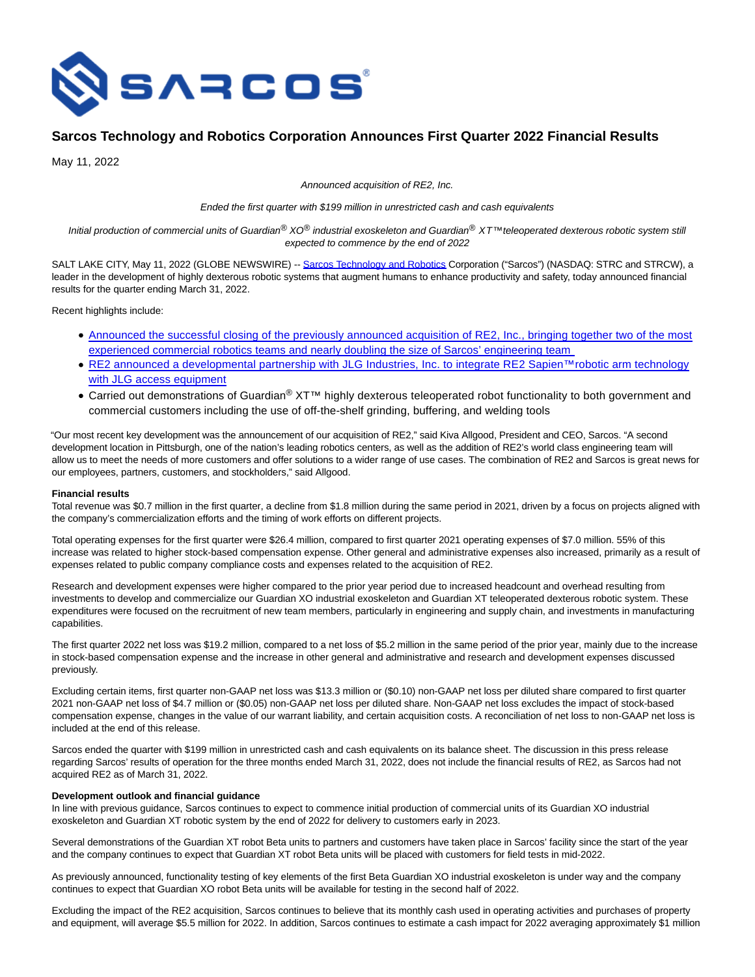

# **Sarcos Technology and Robotics Corporation Announces First Quarter 2022 Financial Results**

May 11, 2022

Announced acquisition of RE2, Inc.

Ended the first quarter with \$199 million in unrestricted cash and cash equivalents

Initial production of commercial units of Guardian® XO® industrial exoskeleton and Guardian® XT™ teleoperated dexterous robotic system still expected to commence by the end of 2022

SALT LAKE CITY, May 11, 2022 (GLOBE NEWSWIRE) -- [Sarcos Technology and Robotics C](https://www.globenewswire.com/Tracker?data=i0S7zot6NVz-EapY07KVTTw4BtalPSPPg0WyLA5TFsFZe9ILBybMyBBq-LKOlXsU8IbdY_LMk2dpdBcY_zR5SAumAcFyavky9H8EMsHCn1E=)orporation ("Sarcos") (NASDAQ: STRC and STRCW), a leader in the development of highly dexterous robotic systems that augment humans to enhance productivity and safety, today announced financial results for the quarter ending March 31, 2022.

Recent highlights include:

- [Announced the successful closing of the previously announced acquisition of RE2, Inc., bringing together two of the most](https://www.sarcos.com/press-releases/sarcos-technology-and-robotics-corporation-closes-acquisition-of-re2-inc/) experienced commercial robotics teams and nearly doubling the size of Sarcos' engineering team
- [RE2 announced a developmental partnership with JLG Industries, Inc. to integrate RE2 Sapien™ robotic arm technology](https://www.resquared.com/blog/re2-partners-with-jlg-industries) with JLG access equipment
- Carried out demonstrations of Guardian<sup>®</sup> XT<sup>™</sup> highly dexterous teleoperated robot functionality to both government and commercial customers including the use of off-the-shelf grinding, buffering, and welding tools

"Our most recent key development was the announcement of our acquisition of RE2," said Kiva Allgood, President and CEO, Sarcos. "A second development location in Pittsburgh, one of the nation's leading robotics centers, as well as the addition of RE2's world class engineering team will allow us to meet the needs of more customers and offer solutions to a wider range of use cases. The combination of RE2 and Sarcos is great news for our employees, partners, customers, and stockholders," said Allgood.

## **Financial results**

Total revenue was \$0.7 million in the first quarter, a decline from \$1.8 million during the same period in 2021, driven by a focus on projects aligned with the company's commercialization efforts and the timing of work efforts on different projects.

Total operating expenses for the first quarter were \$26.4 million, compared to first quarter 2021 operating expenses of \$7.0 million. 55% of this increase was related to higher stock-based compensation expense. Other general and administrative expenses also increased, primarily as a result of expenses related to public company compliance costs and expenses related to the acquisition of RE2.

Research and development expenses were higher compared to the prior year period due to increased headcount and overhead resulting from investments to develop and commercialize our Guardian XO industrial exoskeleton and Guardian XT teleoperated dexterous robotic system. These expenditures were focused on the recruitment of new team members, particularly in engineering and supply chain, and investments in manufacturing capabilities.

The first quarter 2022 net loss was \$19.2 million, compared to a net loss of \$5.2 million in the same period of the prior year, mainly due to the increase in stock-based compensation expense and the increase in other general and administrative and research and development expenses discussed previously.

Excluding certain items, first quarter non-GAAP net loss was \$13.3 million or (\$0.10) non-GAAP net loss per diluted share compared to first quarter 2021 non-GAAP net loss of \$4.7 million or (\$0.05) non-GAAP net loss per diluted share. Non-GAAP net loss excludes the impact of stock-based compensation expense, changes in the value of our warrant liability, and certain acquisition costs. A reconciliation of net loss to non-GAAP net loss is included at the end of this release.

Sarcos ended the quarter with \$199 million in unrestricted cash and cash equivalents on its balance sheet. The discussion in this press release regarding Sarcos' results of operation for the three months ended March 31, 2022, does not include the financial results of RE2, as Sarcos had not acquired RE2 as of March 31, 2022.

#### **Development outlook and financial guidance**

In line with previous guidance, Sarcos continues to expect to commence initial production of commercial units of its Guardian XO industrial exoskeleton and Guardian XT robotic system by the end of 2022 for delivery to customers early in 2023.

Several demonstrations of the Guardian XT robot Beta units to partners and customers have taken place in Sarcos' facility since the start of the year and the company continues to expect that Guardian XT robot Beta units will be placed with customers for field tests in mid-2022.

As previously announced, functionality testing of key elements of the first Beta Guardian XO industrial exoskeleton is under way and the company continues to expect that Guardian XO robot Beta units will be available for testing in the second half of 2022.

Excluding the impact of the RE2 acquisition, Sarcos continues to believe that its monthly cash used in operating activities and purchases of property and equipment, will average \$5.5 million for 2022. In addition, Sarcos continues to estimate a cash impact for 2022 averaging approximately \$1 million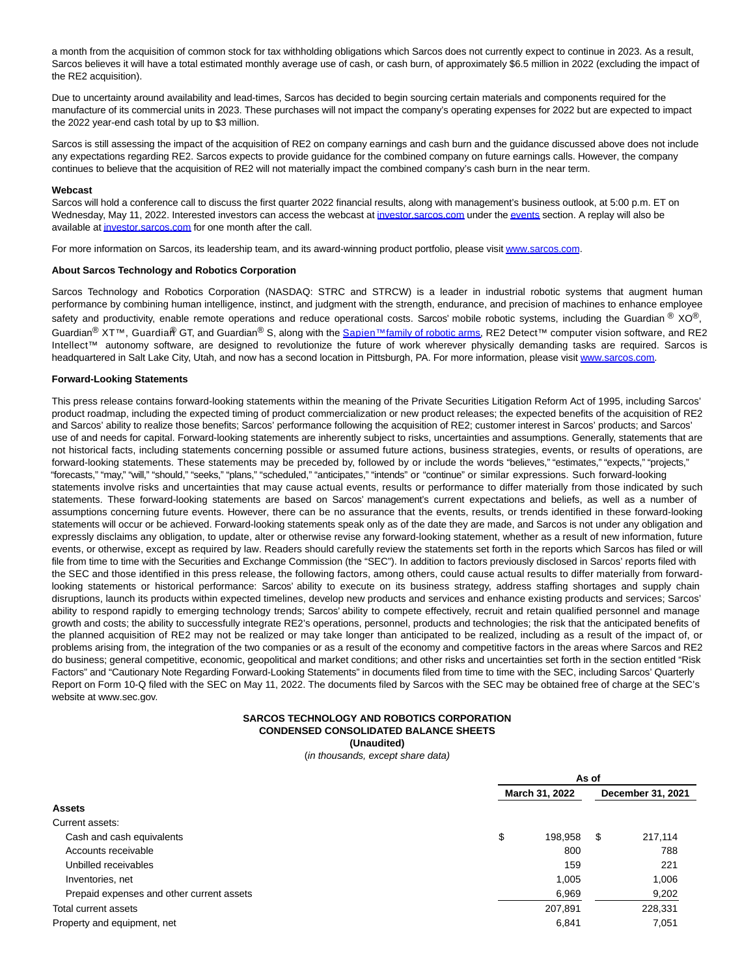a month from the acquisition of common stock for tax withholding obligations which Sarcos does not currently expect to continue in 2023. As a result, Sarcos believes it will have a total estimated monthly average use of cash, or cash burn, of approximately \$6.5 million in 2022 (excluding the impact of the RE2 acquisition).

Due to uncertainty around availability and lead-times, Sarcos has decided to begin sourcing certain materials and components required for the manufacture of its commercial units in 2023. These purchases will not impact the company's operating expenses for 2022 but are expected to impact the 2022 year-end cash total by up to \$3 million.

Sarcos is still assessing the impact of the acquisition of RE2 on company earnings and cash burn and the guidance discussed above does not include any expectations regarding RE2. Sarcos expects to provide guidance for the combined company on future earnings calls. However, the company continues to believe that the acquisition of RE2 will not materially impact the combined company's cash burn in the near term.

#### **Webcast**

Sarcos will hold a conference call to discuss the first quarter 2022 financial results, along with management's business outlook, at 5:00 p.m. ET on Wednesday, May 11, 2022. Interested investors can access the webcast at investor sarcos.com under th[e events s](https://www.globenewswire.com/Tracker?data=ONKZZ4u6GJ846cIPAQoo6FwMjxB6z5qgEYddo_QUppcckZvCHaZE867zhp1g8dqNTHk1DhlHo_4HcXJFBAQCz7HbJrzsDRdp9S1fdPq3nRY=)ection. A replay will also be available a[t investor.sarcos.com f](https://www.globenewswire.com/Tracker?data=s59lYUIXmQ77DighkdLwdncUo_jbyhIQ3vi5D6wTQNBOONjYXWlvB4hhbqI5IwOm3WOyNKOVsQLEfKTnoZZQtlXZjcLBQoH2YBvBSPb1qV8=)or one month after the call.

For more information on Sarcos, its leadership team, and its award-winning product portfolio, please visi[t www.sarcos.com.](https://www.globenewswire.com/Tracker?data=CxJ7KklfNPMVNM4FpljPh2R8MEqyKxy7nbRntKAixDquEzzIJ3DEu5ldZhH_VDXTDWiTZ6YkEZMr9KftjS-kkA==)

### **About Sarcos Technology and Robotics Corporation**

Sarcos Technology and Robotics Corporation (NASDAQ: STRC and STRCW) is a leader in industrial robotic systems that augment human performance by combining human intelligence, instinct, and judgment with the strength, endurance, and precision of machines to enhance employee safety and productivity, enable remote operations and reduce operational costs. Sarcos' mobile robotic systems, including the Guardian  $\mathcal{O} \times \mathcal{O} \mathcal{O}$ , Guardian<sup>®</sup> XT™, Guardian<sup>®</sup> GT, and Guardian<sup>®</sup> S, along with the Sapien<sup>™ [family of robotic arms,](https://www.globenewswire.com/Tracker?data=2vXDoGDpoVTee9qL0thfflsmh38co5NH26-ZPWeC3TN_4_eSHDBOzwis9YbGg1Iav_CpDe6JQDOA6PI048KzKYUnHMAdGUaezXL08qg-0-5QP-6HrEL0aiwcVg6y3nUUHYmFRQHFBffOb6MEYCHbW0HPlmVJtnKV-G6PfXBwaha4YvsvPKyU8Jq7u1jWzUBRuwsiN5S4vJyNTaFNxkMKuPXt_Ek_KooOxvznXDSkltlg5tidwIBPXThXOUbO8sUqEj5jtQCRECEOSyzK1T9ZMeYbx4fKhBfhvuTR77FJhV9t_GQJi_c9alWQLYRku41XEabUfZK39XP9aMje0ky4hIW1wOCXqQtrS7GG_owyJvmiBfNvBIqF4GFGiUR7uHDAI9K4Q-9cN0xPttEQxb2oJ7mu65pY11czCJYAbkL9lGIHKwLaN9Ncrsn2ylZ-FgBCm_46Zz2zNRIMc7c_SJNMvm-TmIgmKzWM8p0eRSoavoz5sh5_XfzmGsHFPYz2L6pfybE3VaGuqJsMaIjg1ssfyKPiW6ftChN6Vf46jNJwMUXK03GrTRnEXFNXxZwRgh0HA0L04QpUkTF9J0MSzfNpp1ur6IEW_F3z0QOVV0N-mNI=) RE2 Detect™ computer vision software, and RE2</sup> Intellect™ autonomy software, are designed to revolutionize the future of work wherever physically demanding tasks are required. Sarcos is headquartered in Salt Lake City, Utah, and now has a second location in Pittsburgh, PA. For more information, please visit [www.sarcos.com.](https://www.globenewswire.com/Tracker?data=CxJ7KklfNPMVNM4FpljPh_DjhW8LuBR0aTW7YTucTxXt_Z7ViU-pkBj2TPvc-QIVBJSZsZunbp4umsTJr1aQzlY9pj6gUiw1WxZ8HuK_7WJH9M7KNBNUTv2PCVDUYjHr5Jn3QnP1d2UhKNc0AFWtzrIZ_pVq8q_Q_ym68NADYPiSkBkK5wCxbfeRntkEK2qwPCgtT4vNPfjHxh-0uX-VG4Onc_EsXPOlXhQJVXKxtLCSEAVV8tT_i4s9qRngOJBdWGy9z9rnU6rqZluUp8rw5ZwNPQ2KhASIuIxQWlCee3RB9RxuXUfhG0VkgUXQV-OdQoQnJM8ur4I6IqaZi1mcSq0mIUtXNjIZAJg3JaOZWM-pW_azuc8BR0nRVl5dVtp8wK2PbFIYo1BRITUZAp8SAZRORpH6ZBiDOWm1SVVZtC7JLMb8AUrJ0pqsE28GdsUX2nKKPR-lDhguBzrG1wKkVnhc11fjKKeu0TeoXOZ2bYNp1dV9yfLDBrI3Ra7Cd_fsj4bJ2taHn53geRzULy-7a5oWHd7vjg4VNl_zeFItNt3cAIN4Mhet31nCBbzEe14P)

## **Forward-Looking Statements**

This press release contains forward-looking statements within the meaning of the Private Securities Litigation Reform Act of 1995, including Sarcos' product roadmap, including the expected timing of product commercialization or new product releases; the expected benefits of the acquisition of RE2 and Sarcos' ability to realize those benefits; Sarcos' performance following the acquisition of RE2; customer interest in Sarcos' products; and Sarcos' use of and needs for capital. Forward-looking statements are inherently subject to risks, uncertainties and assumptions. Generally, statements that are not historical facts, including statements concerning possible or assumed future actions, business strategies, events, or results of operations, are forward-looking statements. These statements may be preceded by, followed by or include the words "believes," "estimates," "expects," "projects," "forecasts," "may," "will," "should," "seeks," "plans," "scheduled," "anticipates," "intends" or "continue" or similar expressions. Such forward-looking statements involve risks and uncertainties that may cause actual events, results or performance to differ materially from those indicated by such statements. These forward-looking statements are based on Sarcos' management's current expectations and beliefs, as well as a number of assumptions concerning future events. However, there can be no assurance that the events, results, or trends identified in these forward-looking statements will occur or be achieved. Forward-looking statements speak only as of the date they are made, and Sarcos is not under any obligation and expressly disclaims any obligation, to update, alter or otherwise revise any forward-looking statement, whether as a result of new information, future events, or otherwise, except as required by law. Readers should carefully review the statements set forth in the reports which Sarcos has filed or will file from time to time with the Securities and Exchange Commission (the "SEC"). In addition to factors previously disclosed in Sarcos' reports filed with the SEC and those identified in this press release, the following factors, among others, could cause actual results to differ materially from forwardlooking statements or historical performance: Sarcos' ability to execute on its business strategy, address staffing shortages and supply chain disruptions, launch its products within expected timelines, develop new products and services and enhance existing products and services; Sarcos' ability to respond rapidly to emerging technology trends; Sarcos' ability to compete effectively, recruit and retain qualified personnel and manage growth and costs; the ability to successfully integrate RE2's operations, personnel, products and technologies; the risk that the anticipated benefits of the planned acquisition of RE2 may not be realized or may take longer than anticipated to be realized, including as a result of the impact of, or problems arising from, the integration of the two companies or as a result of the economy and competitive factors in the areas where Sarcos and RE2 do business; general competitive, economic, geopolitical and market conditions; and other risks and uncertainties set forth in the section entitled "Risk Factors" and "Cautionary Note Regarding Forward-Looking Statements" in documents filed from time to time with the SEC, including Sarcos' Quarterly Report on Form 10-Q filed with the SEC on May 11, 2022. The documents filed by Sarcos with the SEC may be obtained free of charge at the SEC's website at www.sec.gov.

#### **SARCOS TECHNOLOGY AND ROBOTICS CORPORATION CONDENSED CONSOLIDATED BALANCE SHEETS (Unaudited)**

(in thousands, except share data)

| <b>Assets</b>                             |                | As of   |                   |         |  |  |
|-------------------------------------------|----------------|---------|-------------------|---------|--|--|
|                                           | March 31, 2022 |         | December 31, 2021 |         |  |  |
|                                           |                |         |                   |         |  |  |
| Current assets:                           |                |         |                   |         |  |  |
| Cash and cash equivalents                 | \$             | 198,958 | - \$              | 217.114 |  |  |
| Accounts receivable                       |                | 800     |                   | 788     |  |  |
| Unbilled receivables                      |                | 159     |                   | 221     |  |  |
| Inventories, net                          |                | 1,005   |                   | 1,006   |  |  |
| Prepaid expenses and other current assets |                | 6,969   |                   | 9,202   |  |  |
| Total current assets                      |                | 207,891 |                   | 228,331 |  |  |
| Property and equipment, net               |                | 6,841   |                   | 7,051   |  |  |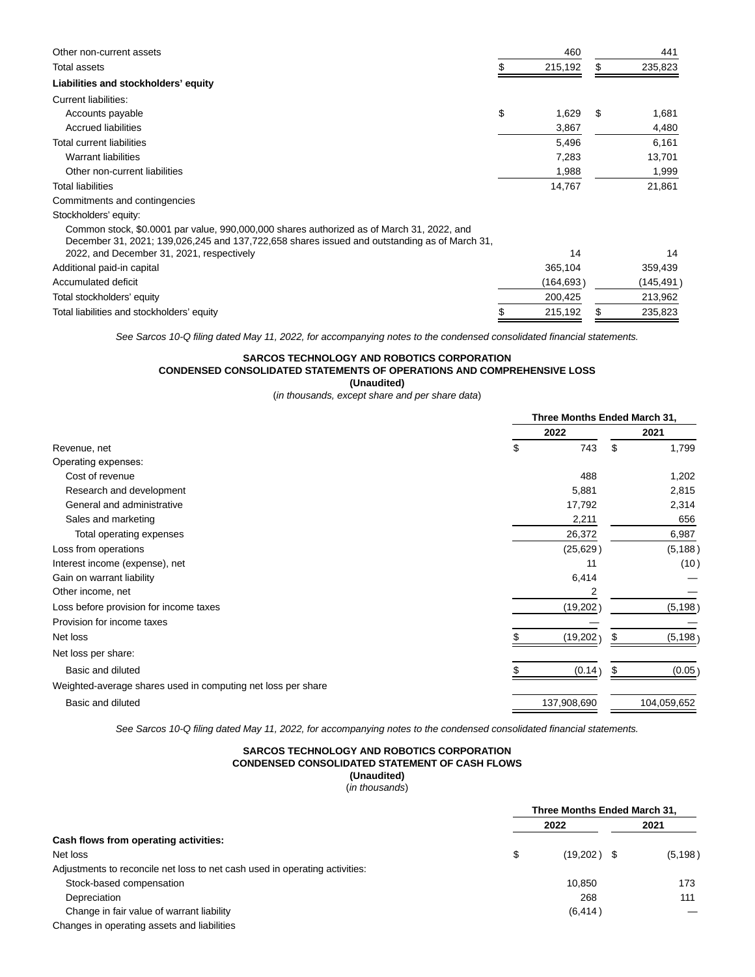| Other non-current assets                                                                                                                                                                  | 460         |    | 441        |
|-------------------------------------------------------------------------------------------------------------------------------------------------------------------------------------------|-------------|----|------------|
| Total assets                                                                                                                                                                              | 215,192     | S. | 235,823    |
| Liabilities and stockholders' equity                                                                                                                                                      |             |    |            |
| Current liabilities:                                                                                                                                                                      |             |    |            |
| Accounts payable                                                                                                                                                                          | \$<br>1,629 | S  | 1,681      |
| Accrued liabilities                                                                                                                                                                       | 3,867       |    | 4,480      |
| Total current liabilities                                                                                                                                                                 | 5,496       |    | 6,161      |
| <b>Warrant liabilities</b>                                                                                                                                                                | 7,283       |    | 13,701     |
| Other non-current liabilities                                                                                                                                                             | 1,988       |    | 1,999      |
| <b>Total liabilities</b>                                                                                                                                                                  | 14,767      |    | 21,861     |
| Commitments and contingencies                                                                                                                                                             |             |    |            |
| Stockholders' equity:                                                                                                                                                                     |             |    |            |
| Common stock, \$0.0001 par value, 990,000,000 shares authorized as of March 31, 2022, and<br>December 31, 2021; 139,026,245 and 137,722,658 shares issued and outstanding as of March 31, |             |    |            |
| 2022, and December 31, 2021, respectively                                                                                                                                                 | 14          |    | 14         |
| Additional paid-in capital                                                                                                                                                                | 365,104     |    | 359,439    |
| Accumulated deficit                                                                                                                                                                       | (164,693)   |    | (145,491 ) |
| Total stockholders' equity                                                                                                                                                                | 200,425     |    | 213,962    |
| Total liabilities and stockholders' equity                                                                                                                                                | 215,192     |    | 235,823    |

See Sarcos 10-Q filing dated May 11, 2022, for accompanying notes to the condensed consolidated financial statements.

# **SARCOS TECHNOLOGY AND ROBOTICS CORPORATION CONDENSED CONSOLIDATED STATEMENTS OF OPERATIONS AND COMPREHENSIVE LOSS (Unaudited)**

(in thousands, except share and per share data)

|                                                              |             | Three Months Ended March 31, |             |  |  |
|--------------------------------------------------------------|-------------|------------------------------|-------------|--|--|
|                                                              | 2022        |                              | 2021        |  |  |
| Revenue, net                                                 | 743<br>S    | \$                           | 1,799       |  |  |
| Operating expenses:                                          |             |                              |             |  |  |
| Cost of revenue                                              | 488         |                              | 1,202       |  |  |
| Research and development                                     | 5,881       |                              | 2,815       |  |  |
| General and administrative                                   | 17,792      |                              | 2,314       |  |  |
| Sales and marketing                                          | 2,211       |                              | 656         |  |  |
| Total operating expenses                                     | 26,372      |                              | 6,987       |  |  |
| Loss from operations                                         | (25, 629)   |                              | (5, 188)    |  |  |
| Interest income (expense), net                               | 11          |                              | (10)        |  |  |
| Gain on warrant liability                                    | 6,414       |                              |             |  |  |
| Other income, net                                            | 2           |                              |             |  |  |
| Loss before provision for income taxes                       | (19,202)    |                              | (5, 198)    |  |  |
| Provision for income taxes                                   |             |                              |             |  |  |
| Net loss                                                     | (19, 202)   | æ                            | (5, 198)    |  |  |
| Net loss per share:                                          |             |                              |             |  |  |
| Basic and diluted                                            | (0.14)      |                              | (0.05)      |  |  |
| Weighted-average shares used in computing net loss per share |             |                              |             |  |  |
| Basic and diluted                                            | 137,908,690 |                              | 104,059,652 |  |  |
|                                                              |             |                              |             |  |  |

See Sarcos 10-Q filing dated May 11, 2022, for accompanying notes to the condensed consolidated financial statements.

## **SARCOS TECHNOLOGY AND ROBOTICS CORPORATION CONDENSED CONSOLIDATED STATEMENT OF CASH FLOWS (Unaudited)**

(in thousands)

|                                                                             | Three Months Ended March 31, |  |          |
|-----------------------------------------------------------------------------|------------------------------|--|----------|
|                                                                             | 2022                         |  | 2021     |
| Cash flows from operating activities:                                       |                              |  |          |
| Net loss                                                                    | \$<br>$(19,202)$ \$          |  | (5, 198) |
| Adjustments to reconcile net loss to net cash used in operating activities: |                              |  |          |
| Stock-based compensation                                                    | 10.850                       |  | 173      |
| Depreciation                                                                | 268                          |  | 111      |
| Change in fair value of warrant liability                                   | (6, 414)                     |  |          |
| Changes in operating assets and liabilities                                 |                              |  |          |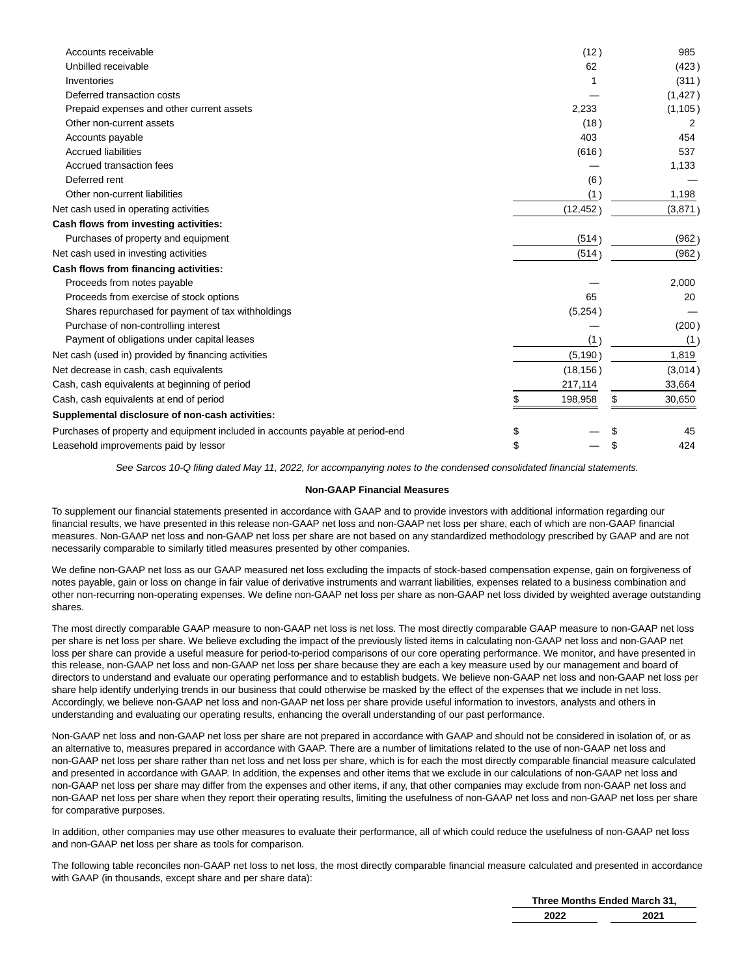| Accounts receivable                                                            |    |           | 985   |          |
|--------------------------------------------------------------------------------|----|-----------|-------|----------|
| Unbilled receivable                                                            |    |           | (423) |          |
| Inventories                                                                    |    |           |       | (311)    |
| Deferred transaction costs                                                     |    |           |       | (1, 427) |
| Prepaid expenses and other current assets                                      |    | 2,233     |       | (1, 105) |
| Other non-current assets                                                       |    | (18)      |       | 2        |
| Accounts payable                                                               |    | 403       |       | 454      |
| <b>Accrued liabilities</b>                                                     |    | (616)     |       | 537      |
| Accrued transaction fees                                                       |    |           |       | 1,133    |
| Deferred rent                                                                  |    | (6)       |       |          |
| Other non-current liabilities                                                  |    | (1)       |       | 1,198    |
| Net cash used in operating activities                                          |    | (12, 452) |       | (3,871)  |
| Cash flows from investing activities:                                          |    |           |       |          |
| Purchases of property and equipment                                            |    | (514)     |       | (962)    |
| Net cash used in investing activities                                          |    | (514)     |       | (962)    |
| Cash flows from financing activities:                                          |    |           |       |          |
| Proceeds from notes payable                                                    |    |           |       | 2,000    |
| Proceeds from exercise of stock options                                        |    | 65        |       | 20       |
| Shares repurchased for payment of tax withholdings                             |    | (5,254)   |       |          |
| Purchase of non-controlling interest                                           |    |           |       |          |
| Payment of obligations under capital leases                                    |    | (1)       |       |          |
| Net cash (used in) provided by financing activities                            |    | (5, 190)  |       | 1,819    |
| Net decrease in cash, cash equivalents                                         |    | (18, 156) |       | (3,014)  |
| Cash, cash equivalents at beginning of period                                  |    | 217,114   |       | 33,664   |
| Cash, cash equivalents at end of period                                        |    | 198,958   |       | 30,650   |
| Supplemental disclosure of non-cash activities:                                |    |           |       |          |
| Purchases of property and equipment included in accounts payable at period-end | \$ |           |       | 45       |
| Leasehold improvements paid by lessor                                          | \$ |           |       | 424      |

See Sarcos 10-Q filing dated May 11, 2022, for accompanying notes to the condensed consolidated financial statements.

## **Non-GAAP Financial Measures**

To supplement our financial statements presented in accordance with GAAP and to provide investors with additional information regarding our financial results, we have presented in this release non-GAAP net loss and non-GAAP net loss per share, each of which are non-GAAP financial measures. Non-GAAP net loss and non-GAAP net loss per share are not based on any standardized methodology prescribed by GAAP and are not necessarily comparable to similarly titled measures presented by other companies.

We define non-GAAP net loss as our GAAP measured net loss excluding the impacts of stock-based compensation expense, gain on forgiveness of notes payable, gain or loss on change in fair value of derivative instruments and warrant liabilities, expenses related to a business combination and other non-recurring non-operating expenses. We define non-GAAP net loss per share as non-GAAP net loss divided by weighted average outstanding shares.

The most directly comparable GAAP measure to non-GAAP net loss is net loss. The most directly comparable GAAP measure to non-GAAP net loss per share is net loss per share. We believe excluding the impact of the previously listed items in calculating non-GAAP net loss and non-GAAP net loss per share can provide a useful measure for period-to-period comparisons of our core operating performance. We monitor, and have presented in this release, non-GAAP net loss and non-GAAP net loss per share because they are each a key measure used by our management and board of directors to understand and evaluate our operating performance and to establish budgets. We believe non-GAAP net loss and non-GAAP net loss per share help identify underlying trends in our business that could otherwise be masked by the effect of the expenses that we include in net loss. Accordingly, we believe non-GAAP net loss and non-GAAP net loss per share provide useful information to investors, analysts and others in understanding and evaluating our operating results, enhancing the overall understanding of our past performance.

Non-GAAP net loss and non-GAAP net loss per share are not prepared in accordance with GAAP and should not be considered in isolation of, or as an alternative to, measures prepared in accordance with GAAP. There are a number of limitations related to the use of non-GAAP net loss and non-GAAP net loss per share rather than net loss and net loss per share, which is for each the most directly comparable financial measure calculated and presented in accordance with GAAP. In addition, the expenses and other items that we exclude in our calculations of non-GAAP net loss and non-GAAP net loss per share may differ from the expenses and other items, if any, that other companies may exclude from non-GAAP net loss and non-GAAP net loss per share when they report their operating results, limiting the usefulness of non-GAAP net loss and non-GAAP net loss per share for comparative purposes.

In addition, other companies may use other measures to evaluate their performance, all of which could reduce the usefulness of non-GAAP net loss and non-GAAP net loss per share as tools for comparison.

The following table reconciles non-GAAP net loss to net loss, the most directly comparable financial measure calculated and presented in accordance with GAAP (in thousands, except share and per share data):

> **Three Months Ended March 31, 2022 2021**